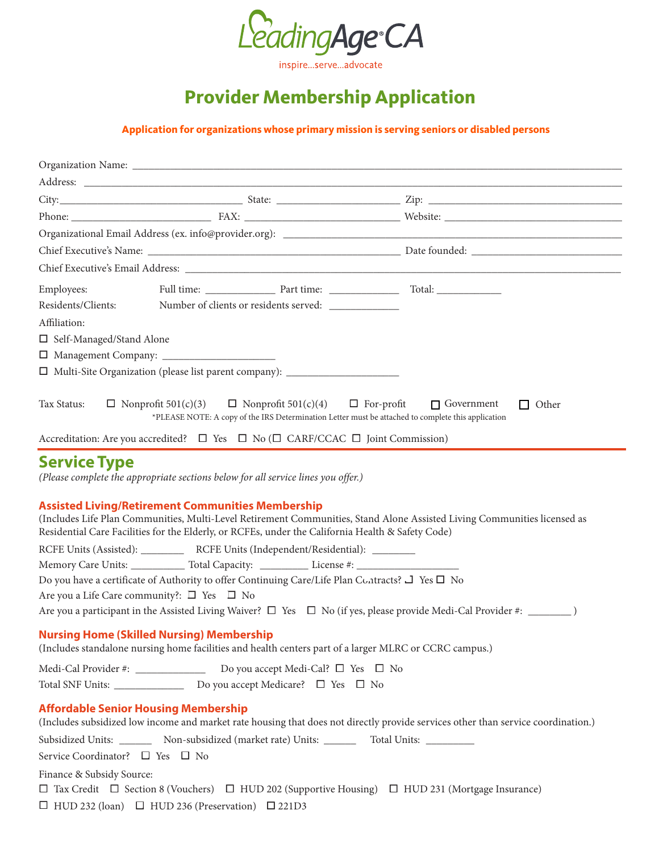

inspire...serve...advocate

## **Provider Membership Application**

**Application for organizations whose primary mission is serving seniors or disabled persons**

| Employees:                      |                                                                                                                                                                                                                                                                       |                                                                                                                                   |
|---------------------------------|-----------------------------------------------------------------------------------------------------------------------------------------------------------------------------------------------------------------------------------------------------------------------|-----------------------------------------------------------------------------------------------------------------------------------|
| Residents/Clients:              | Number of clients or residents served: _______________                                                                                                                                                                                                                |                                                                                                                                   |
| Affiliation:                    |                                                                                                                                                                                                                                                                       |                                                                                                                                   |
| □ Self-Managed/Stand Alone      |                                                                                                                                                                                                                                                                       |                                                                                                                                   |
|                                 |                                                                                                                                                                                                                                                                       |                                                                                                                                   |
|                                 | □ Multi-Site Organization (please list parent company): _______________________                                                                                                                                                                                       |                                                                                                                                   |
| Tax Status:                     | $\Box$ Nonprofit 501(c)(3)<br>$\Box$ Nonprofit 501(c)(4)<br>*PLEASE NOTE: A copy of the IRS Determination Letter must be attached to complete this application<br>Accreditation: Are you accredited? $\Box$ Yes $\Box$ No ( $\Box$ CARF/CCAC $\Box$ Joint Commission) | $\Box$ For-profit $\Box$ Government<br>$\Box$ Other                                                                               |
|                                 |                                                                                                                                                                                                                                                                       |                                                                                                                                   |
|                                 | (Please complete the appropriate sections below for all service lines you offer.)<br><b>Assisted Living/Retirement Communities Membership</b><br>Residential Care Facilities for the Elderly, or RCFEs, under the California Health & Safety Code)                    | (Includes Life Plan Communities, Multi-Level Retirement Communities, Stand Alone Assisted Living Communities licensed as          |
|                                 | RCFE Units (Assisted): _____________ RCFE Units (Independent/Residential): _______                                                                                                                                                                                    |                                                                                                                                   |
|                                 | Memory Care Units: _____________ Total Capacity: _____________ License #: __________________________                                                                                                                                                                  |                                                                                                                                   |
|                                 | Do you have a certificate of Authority to offer Continuing Care/Life Plan Contracts? J Yes □ No                                                                                                                                                                       |                                                                                                                                   |
|                                 | Are you a Life Care community?: $\square$ Yes $\square$ No                                                                                                                                                                                                            |                                                                                                                                   |
|                                 | Are you a participant in the Assisted Living Waiver? $\Box$ Yes $\Box$ No (if yes, please provide Medi-Cal Provider #: ________)                                                                                                                                      |                                                                                                                                   |
|                                 | <b>Nursing Home (Skilled Nursing) Membership</b>                                                                                                                                                                                                                      |                                                                                                                                   |
|                                 | (Includes standalone nursing home facilities and health centers part of a larger MLRC or CCRC campus.)                                                                                                                                                                |                                                                                                                                   |
|                                 | Medi-Cal Provider #: ___________________ Do you accept Medi-Cal? □ Yes □ No                                                                                                                                                                                           |                                                                                                                                   |
|                                 |                                                                                                                                                                                                                                                                       |                                                                                                                                   |
|                                 |                                                                                                                                                                                                                                                                       |                                                                                                                                   |
|                                 | <b>Affordable Senior Housing Membership</b>                                                                                                                                                                                                                           | (Includes subsidized low income and market rate housing that does not directly provide services other than service coordination.) |
|                                 | Subsidized Units: ___________ Non-subsidized (market rate) Units: ____________ Total Units: ________                                                                                                                                                                  |                                                                                                                                   |
| Service Coordinator? □ Yes □ No |                                                                                                                                                                                                                                                                       |                                                                                                                                   |
| Finance & Subsidy Source:       |                                                                                                                                                                                                                                                                       |                                                                                                                                   |
|                                 | $\Box$ Tax Credit $\Box$ Section 8 (Vouchers) $\Box$ HUD 202 (Supportive Housing) $\Box$ HUD 231 (Mortgage Insurance)                                                                                                                                                 |                                                                                                                                   |
|                                 | $\Box$ HUD 232 (loan) $\Box$ HUD 236 (Preservation) $\Box$ 221D3                                                                                                                                                                                                      |                                                                                                                                   |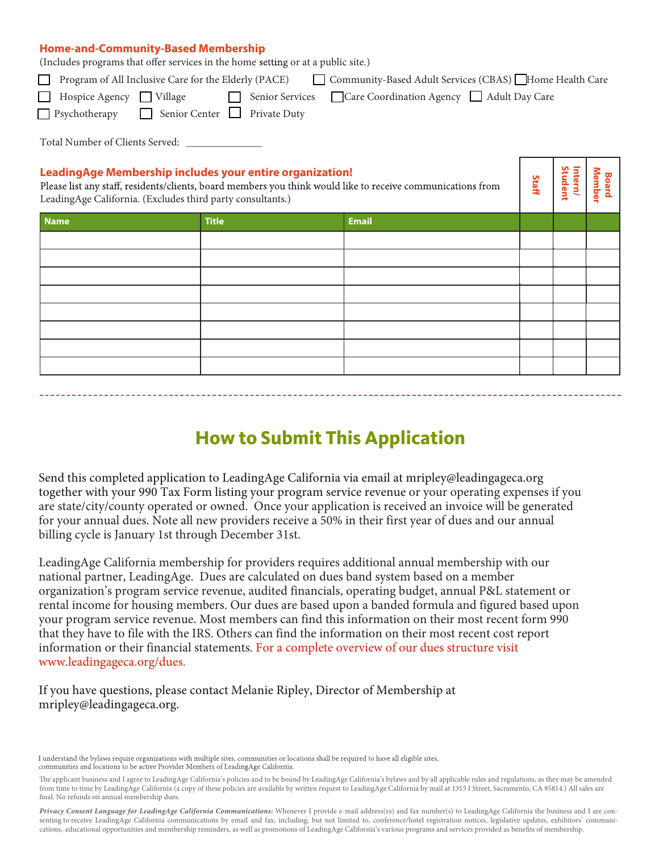#### **Home-and-Community-Based Membership**

(Includes programs that offer services in the home setting or at a public site.)

| Community-Based Adult Services (CBAS) Home Health Care<br>Program of All Inclusive Care for the Elderly (PACE)<br>$\mathbf{1}$                                                                                                        |  |  |  |  |  |  |  |  |  |
|---------------------------------------------------------------------------------------------------------------------------------------------------------------------------------------------------------------------------------------|--|--|--|--|--|--|--|--|--|
| Care Coordination Agency Adult Day Care<br>Hospice Agency $\Box$ Village<br>Senior Services<br>$\perp$                                                                                                                                |  |  |  |  |  |  |  |  |  |
| <b>P</b> sychotherapy <b>Senior Center Private Duty</b>                                                                                                                                                                               |  |  |  |  |  |  |  |  |  |
| Total Number of Clients Served: _________                                                                                                                                                                                             |  |  |  |  |  |  |  |  |  |
| <b>Leading Age Membership includes your entire organization!</b><br>Please list any staff, residents/clients, board members you think would like to receive communications from $\begin{bmatrix} 2 \\ 2 \\ 3 \\ 4 \\ 3 \end{bmatrix}$ |  |  |  |  |  |  |  |  |  |
| LeadingAge California. (Excludes third party consultants.)                                                                                                                                                                            |  |  |  |  |  |  |  |  |  |

#### **LeadingAge Membership includes your entire organization!**

Please list any staff, residents/clients, board members you think would like to receive communications from LeadingAge California. (Excludes third party consultants.)

| <b>Name</b> | <b>Title</b> | <b>Email</b> |  |  |
|-------------|--------------|--------------|--|--|
|             |              |              |  |  |
|             |              |              |  |  |
|             |              |              |  |  |
|             |              |              |  |  |
|             |              |              |  |  |
|             |              |              |  |  |
|             |              |              |  |  |
|             |              |              |  |  |

## **How to Submit This Application**

Send this completed application to LeadingAge California via email at mripley@leadingageca.org together with your 990 Tax Form listing your program service revenue or your operating expenses if you are state/city/county operated or owned. Once your application is received an invoice will be generated for your annual dues. Note all new providers receive a 50% in their first year of dues and our annual billing cycle is January 1st through December 31st.

LeadingAge California membership for providers requires additional annual membership with our national partner, LeadingAge. Dues are calculated on dues band system based on a member organization's program service revenue, audited financials, operating budget, annual P&L statement or rental income for housing members. Our dues are based upon a banded formula and figured based upon your program service revenue. Most members can find this information on their most recent form 990 that they have to file with the IRS. Others can find the information on their most recent cost report information or their financial statements. For a complete overview of our dues structure visit www.leadingageca.org/dues.

#### If you have questions, please contact Melanie Ripley, Director of Membership at mripley@leadingageca.org.

I understand the bylaws require organizations with multiple sites, communities or locations shall be required to have all eligible sites, communities and locations to be active Provider Members of LeadingAge California.

The applicant business and I agree to LeadingAge California's policies and to be bound by LeadingAge California's bylaws and by all applicable rules and regulations, as they may be amended from time to time by LeadingAge California (a copy of these policies are available by written request to LeadingAge California by mail at 1315 I Street, Sacramento, CA 95814.) All sales are final. No refunds on annual membership dues.

*Privacy Consent Language for LeadingAge California Communications:* Whenever I provide e-mail address(es) and fax number(s) to LeadingAge California the business and I are consenting to receive LeadingAge California communications by email and fax, including, but not limited to, conference/hotel registration notices, legislative updates, exhibitors' communications, educational opportunities and membership reminders, as well as promotions of LeadingAge California's various programs and services provided as benets of membership.